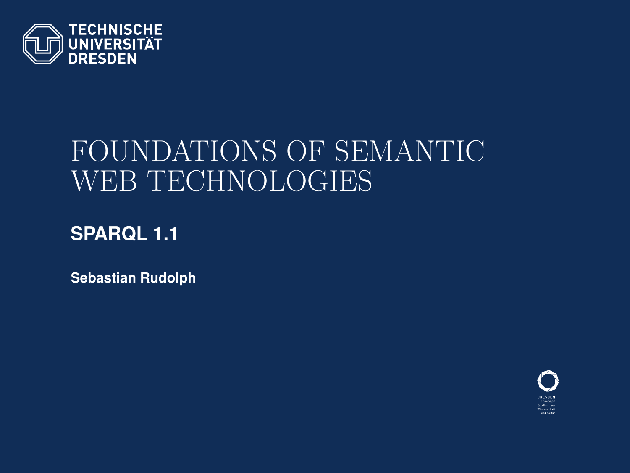

# FOUNDATIONS OF SEMANTIC WEB TECHNOLOGIES

#### **SPARQL 1.1**

**Sebastian Rudolph**

<span id="page-0-0"></span>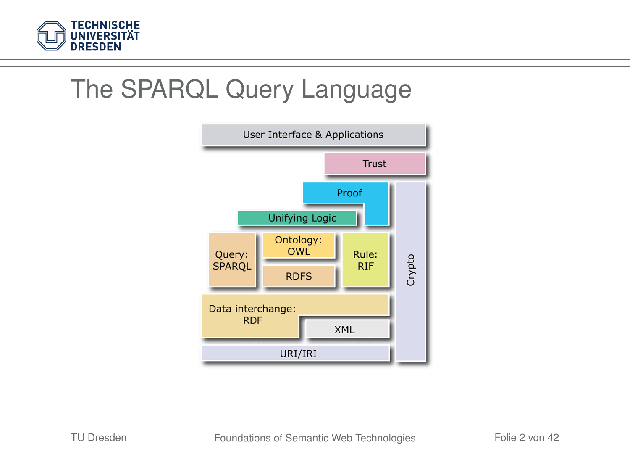

### The SPARQL Query Language

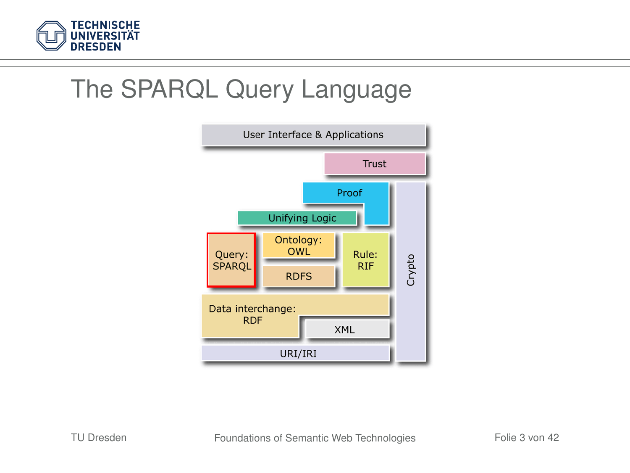

### The SPARQL Query Language

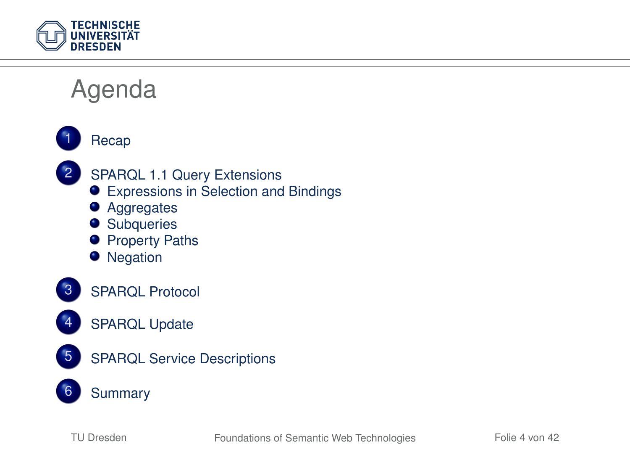

#### Agenda





- 2 [SPARQL 1.1 Query Extensions](#page-9-0)
	- [Expressions in Selection and Bindings](#page-10-0)
	- [Aggregates](#page-14-0)
	- **•** [Subqueries](#page-21-0)
	- **•** [Property Paths](#page-22-0)
	- **•** [Negation](#page-25-0)





- [SPARQL Update](#page-32-0)
- 5 [SPARQL Service Descriptions](#page-34-0)
	- **[Summary](#page-39-0)**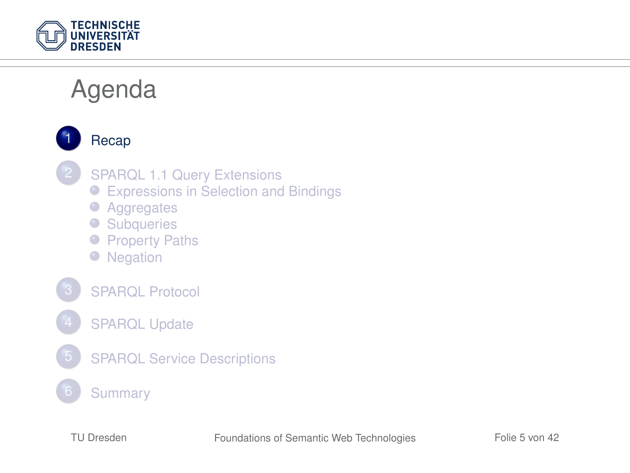

### Agenda

<span id="page-4-0"></span>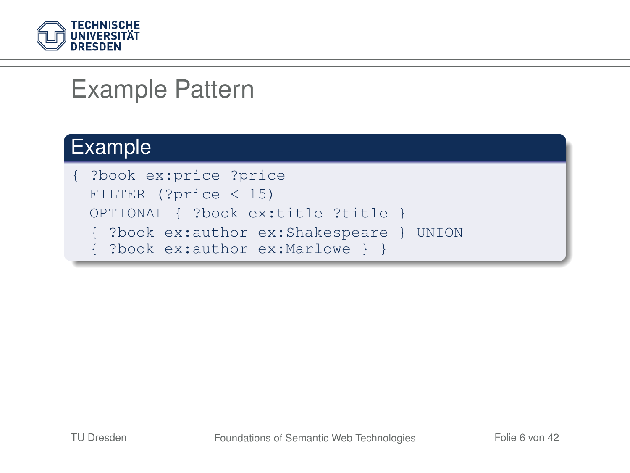

#### Example Pattern

#### Example

{ ?book ex:price ?price FILTER (?price < 15) OPTIONAL { ?book ex:title ?title } { ?book ex:author ex:Shakespeare } UNION { ?book ex:author ex:Marlowe } }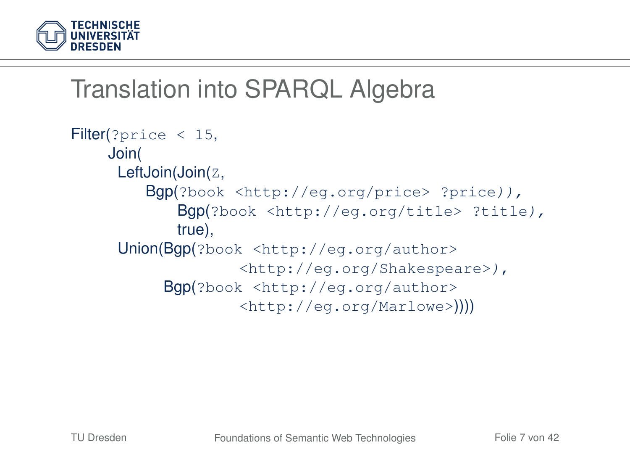

### Translation into SPARQL Algebra

```
Filter(?price < 15,
    Join(
     LeftJoin(Join(Z,
        Bgp(?book <http://eg.org/price> ?price)),
            Bgp(?book <http://eg.org/title> ?title),
            true),
     Union(Bgp(?book <http://eg.org/author>
                   <http://eg.org/Shakespeare>),
          Bgp(?book <http://eg.org/author>
                   <http://eg.org/Marlowe>))))
```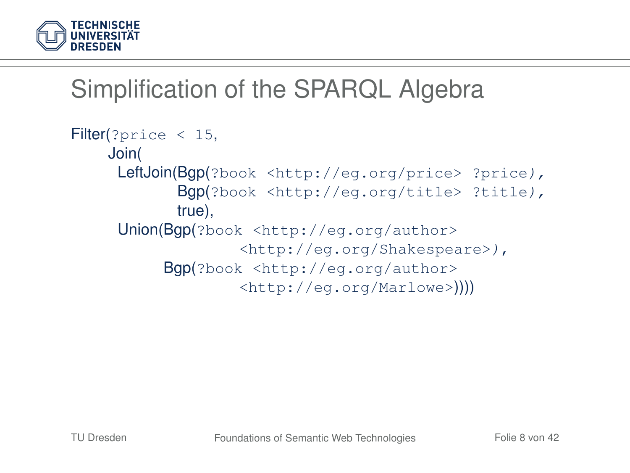

### Simplification of the SPARQL Algebra

```
Filter(?price < 15,
    Join(
     LeftJoin(Bgp(?book <http://eg.org/price> ?price),
            Bgp(?book <http://eg.org/title> ?title),
            true),
     Union(Bgp(?book <http://eg.org/author>
                   <http://eg.org/Shakespeare>),
          Bgp(?book <http://eg.org/author>
                   <http://eg.org/Marlowe>))))
```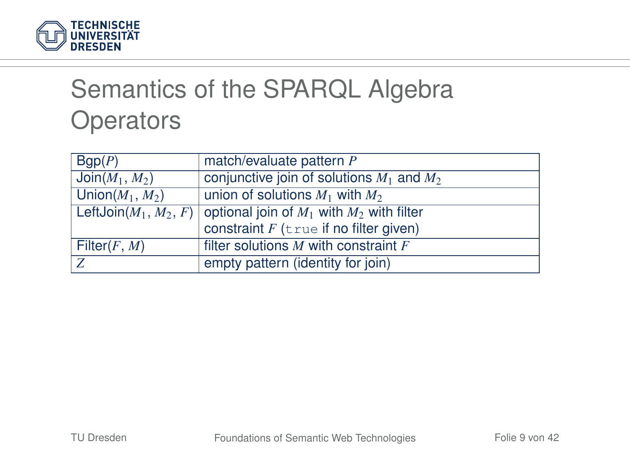

# Semantics of the SPARQL Algebra **Operators**

| Bqp(P)             | match/evaluate pattern P                                               |
|--------------------|------------------------------------------------------------------------|
| $Join(M_1, M_2)$   | conjunctive join of solutions $M_1$ and $M_2$                          |
| Union $(M_1, M_2)$ | union of solutions $M_1$ with $M_2$                                    |
|                    | LeftJoin $(M_1, M_2, F)$ optional join of $M_1$ with $M_2$ with filter |
|                    | constraint $F$ (true if no filter given)                               |
| Filter $(F, M)$    | filter solutions $M$ with constraint $F$                               |
| . Z                | empty pattern (identity for join)                                      |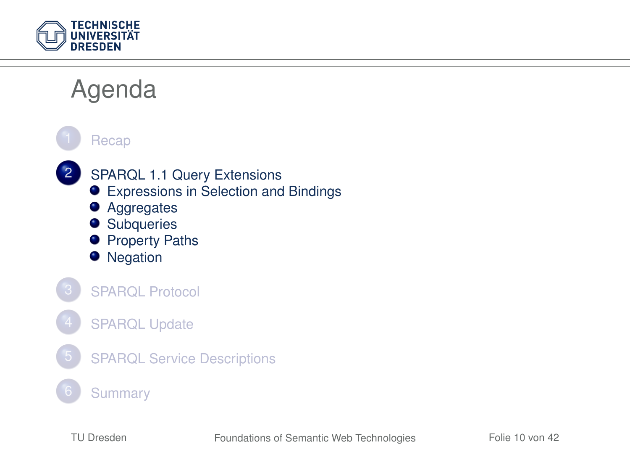

<span id="page-9-0"></span>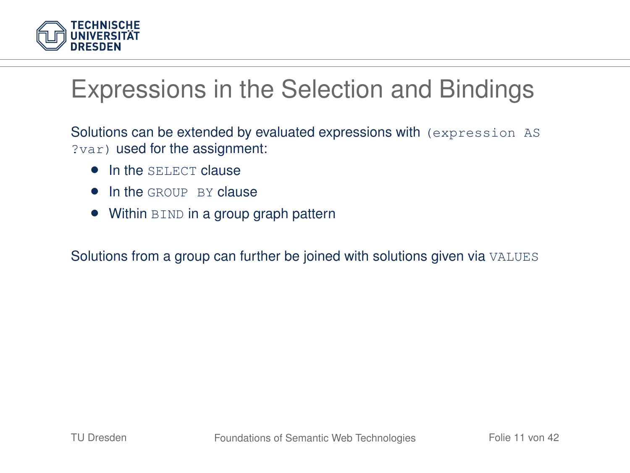

## Expressions in the Selection and Bindings

Solutions can be extended by evaluated expressions with (expression AS ?var) used for the assignment:

- **In the SELECT clause**
- In the GROUP BY clause
- Within BIND in a group graph pattern

<span id="page-10-0"></span>Solutions from a group can further be joined with solutions given via VALUES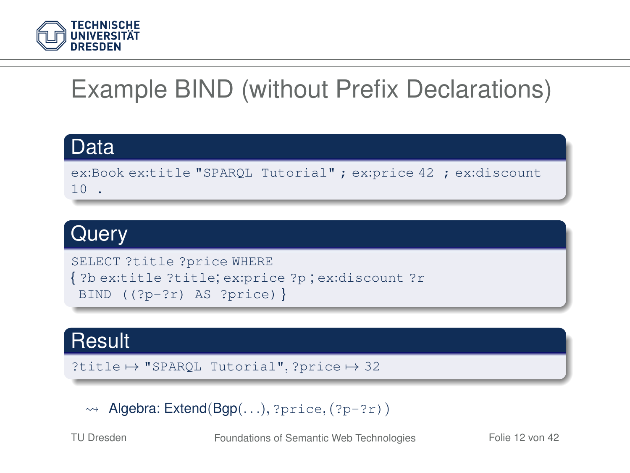

# Example BIND (without Prefix Declarations)

#### Data

ex:Book ex:title "SPARQL Tutorial" ; ex:price 42 ; ex:discount 10 .

#### **Query**

```
SELECT ?title ?price WHERE
{ ?b ex:title ?title; ex:price ?p ; ex:discount ?r
BIND ((?p-?r) AS ?price) }
```
#### **Result**

```
?title \mapsto "SPAROL Tutorial", ?price \mapsto 32
```
 $\rightarrow$  Algebra: Extend(Bgp(...), ?price, (?p-?r))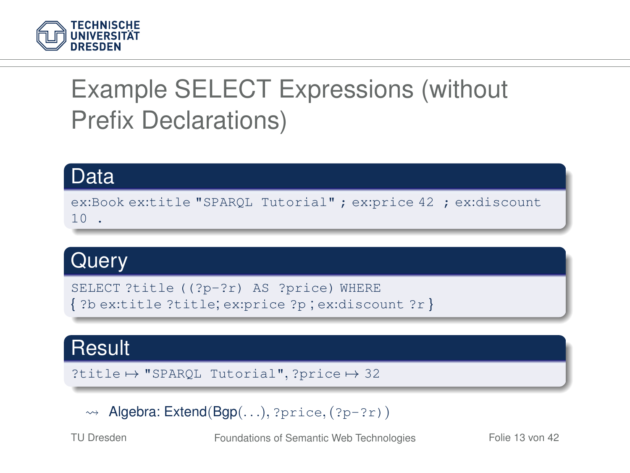

# Example SELECT Expressions (without Prefix Declarations)

#### Data ex:Book ex:title "SPARQL Tutorial" ; ex:price 42 ; ex:discount 10 .

#### **Query**

```
SELECT ?title ((?p-?r) AS ?price) WHERE
{ ?b ex:title ?title; ex:price ?p ; ex:discount ?r }
```
#### **Result**

```
?title \mapsto "SPARQL Tutorial", ?price \mapsto 32
```
 $\rightarrow$  Algebra: Extend(Bgp(...), ?price, (?p-?r))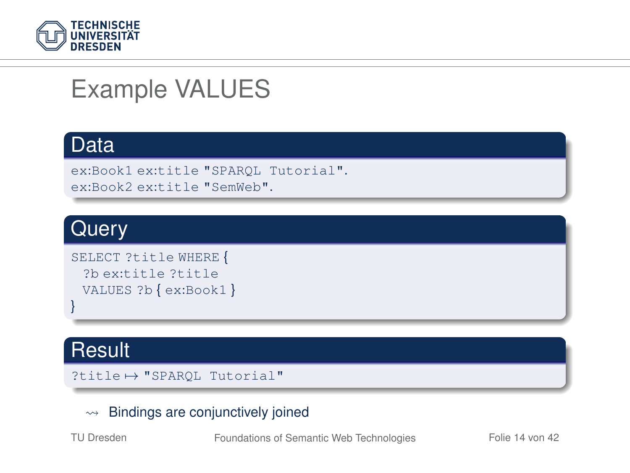

### Example VALUES

#### Data

```
ex:Book1 ex:title "SPARQL Tutorial".
ex:Book2 ex:title "SemWeb".
```
#### **Query**

```
SELECT ?title WHERE {
 ?b ex:title ?title
 VALUES ?b { ex:Book1 }
}
```
#### **Result**

```
?title + "SPAROL Tutorial"
```
#### $\rightarrow$  Bindings are conjunctively joined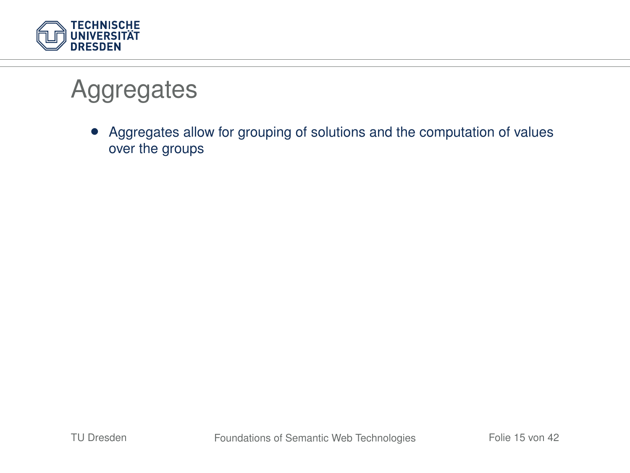

### **Aggregates**

<span id="page-14-0"></span>• Aggregates allow for grouping of solutions and the computation of values over the groups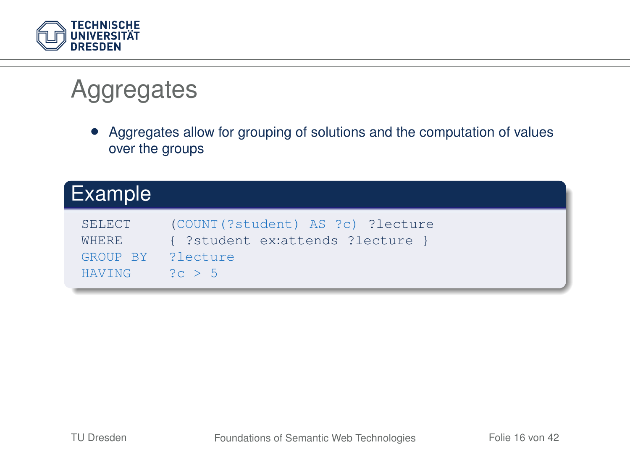

## **Aggregates**

• Aggregates allow for grouping of solutions and the computation of values over the groups

| 'Example                                                      |                                                                                 |
|---------------------------------------------------------------|---------------------------------------------------------------------------------|
| <b>SELECT</b><br>WHERE.<br>GROUP BY ?lecture<br><b>HAVING</b> | (COUNT (?student) AS ?c) ?lecture<br>{ ?student ex:attends ?lecture }<br>2c > 5 |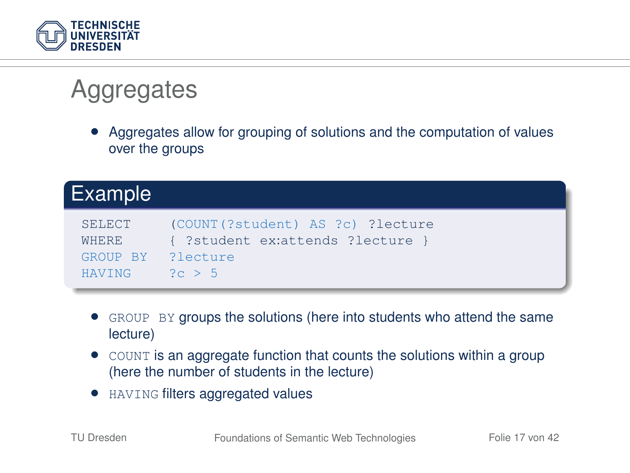

## **Aggregates**

• Aggregates allow for grouping of solutions and the computation of values over the groups

| Example                                                |                                                                              |
|--------------------------------------------------------|------------------------------------------------------------------------------|
| SELECT<br>WHERE.<br>GROUP BY ?lecture<br><b>HAVING</b> | (COUNT(?student) AS ?c) ?lecture<br>{ ?student ex:attends ?lecture<br>2c > 5 |

- GROUP BY groups the solutions (here into students who attend the same lecture)
- COUNT is an aggregate function that counts the solutions within a group (here the number of students in the lecture)
- HAVING filters aggregated values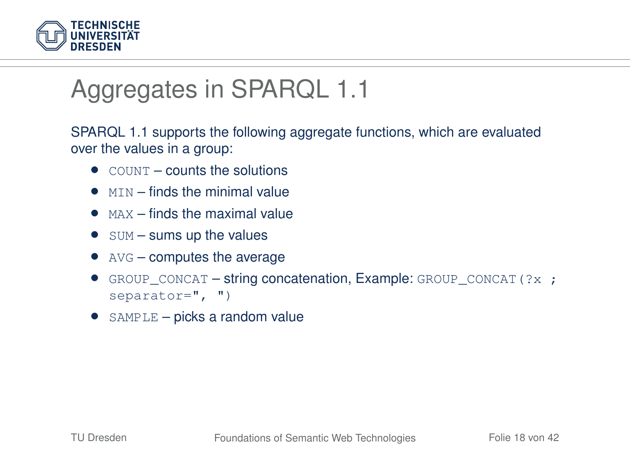

## Aggregates in SPARQL 1.1

SPARQL 1.1 supports the following aggregate functions, which are evaluated over the values in a group:

- $\bullet$  COUNT counts the solutions
- $\bullet$   $MTN -$  finds the minimal value
- $\bullet$  MAX finds the maximal value
- $\bullet$  sum sums up the values
- $\bullet$  AVG computes the average
- GROUP CONCAT string concatenation, Example: GROUP CONCAT( $?x$ ; separator=", ")
- SAMPLE picks a random value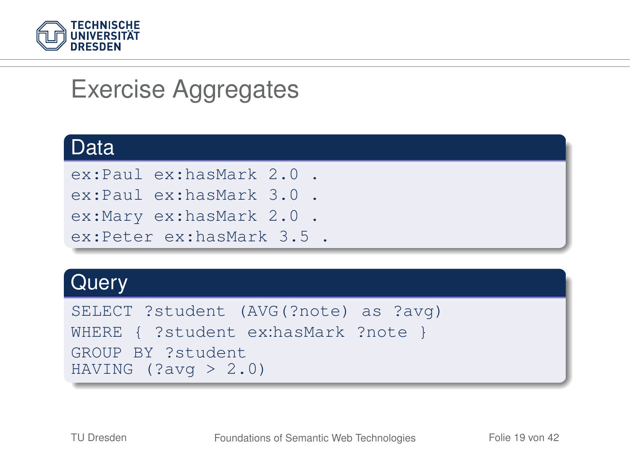

### Exercise Aggregates

#### Data

```
ex:Paul ex:hasMark 2.0 .
```

```
ex:Paul ex:hasMark 3.0 .
ex:Mary ex:hasMark 2.0 .
```

```
ex:Peter ex:hasMark 3.5 .
```
#### **Query**

```
SELECT ?student (AVG(?note) as ?avg)
WHERE { ?student ex:hasMark ?note }
GROUP BY ?student
HAVING (2 \text{avg} > 2.0)
```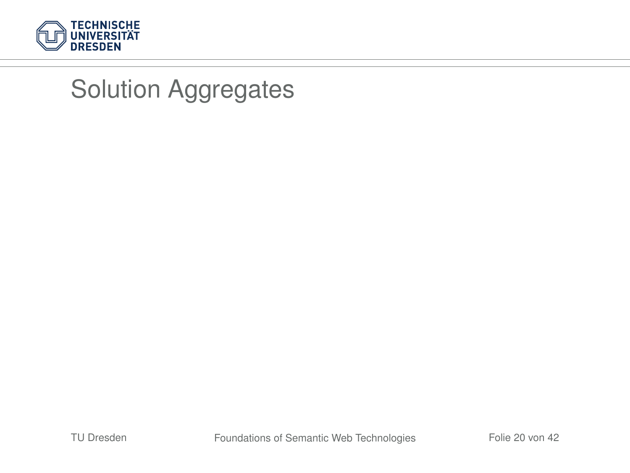

### Solution Aggregates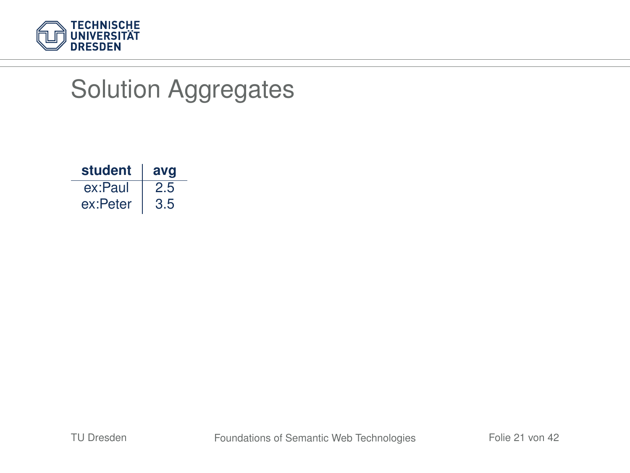

## Solution Aggregates

| student  | avg |
|----------|-----|
| ex:Paul  | 2.5 |
| ex:Peter | 3.5 |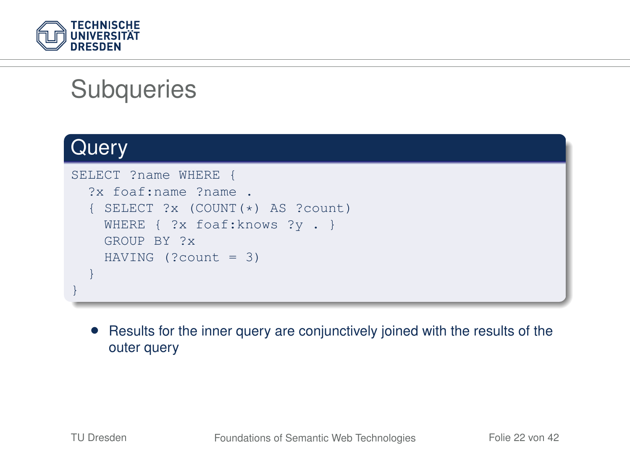

### **Subqueries**

#### **Query**

```
SELECT ?name WHERE {
  ?x foaf:name ?name .
   SELECT ?x (COUNT(*) AS ?count)
    WHERE { ?x foaf: knows ?y . }
    GROUP BY ?x
   HAVING (?count = 3)
  }
}
```
<span id="page-21-0"></span>• Results for the inner query are conjunctively joined with the results of the outer query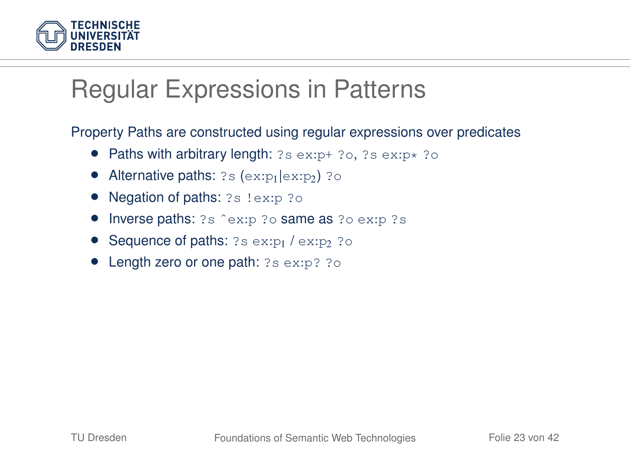

### Regular Expressions in Patterns

Property Paths are constructed using regular expressions over predicates

- Paths with arbitrary length:  $?s$  ex:p+  $?o$ ,  $?s$  ex:p $\star$   $?o$
- Alternative paths:  $?s$  (ex:p<sub>1</sub>  $|ex:py|$ )  $?o$
- Negation of paths: ?s !ex:p ?o
- Inverse paths: ?s ^ex:p ?o same as ?o ex:p ?s
- Sequence of paths:  $?s$  ex:p<sub>1</sub> / ex:p<sub>2</sub> ?o
- <span id="page-22-0"></span>• Length zero or one path: ?s ex:p? ?o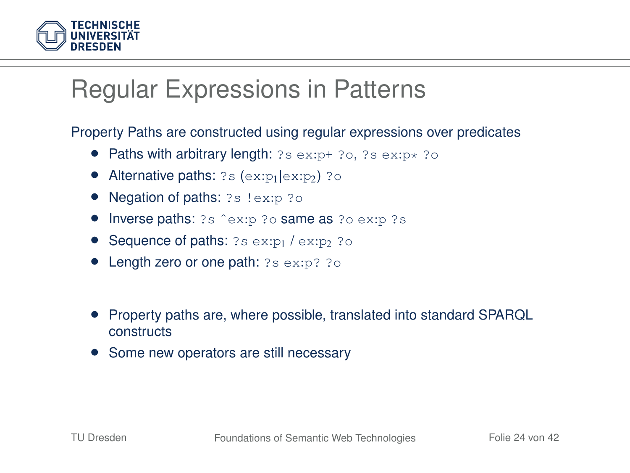

#### Regular Expressions in Patterns

Property Paths are constructed using regular expressions over predicates

- Paths with arbitrary length:  $?s$  ex:p+  $?o$ ,  $?s$  ex:p $\star$   $?o$
- Alternative paths:  $?s$  (ex: $p_1$ |ex: $p_2$ ) ?o
- Negation of paths: ?s !ex:p ?o
- Inverse paths: ?s ^ex:p ?o same as ?o ex:p ?s
- Sequence of paths:  $?s$  ex:p<sub>1</sub> / ex:p<sub>2</sub> ?o
- Length zero or one path: ?s ex:p? ?o
- Property paths are, where possible, translated into standard SPARQL constructs
- Some new operators are still necessary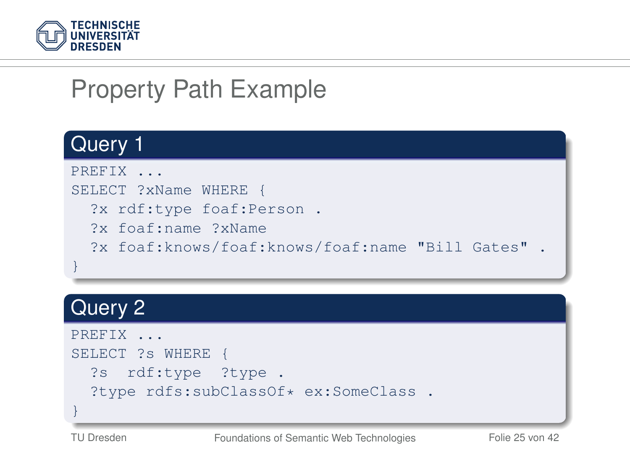

# Property Path Example

#### Query 1



#### Query<sub>2</sub>

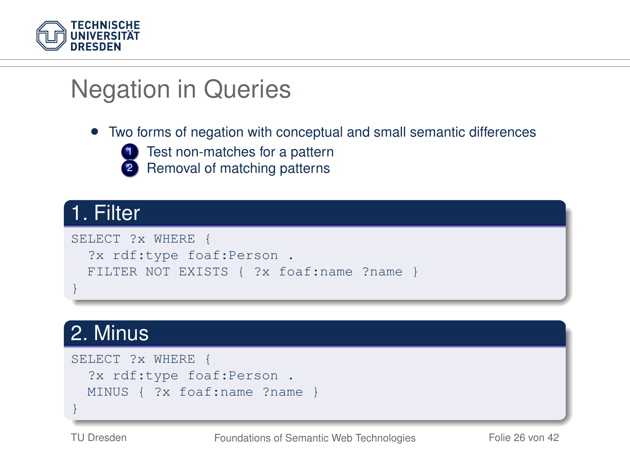

# Negation in Queries

#### • Two forms of negation with conceptual and small semantic differences



1 Test non-matches for a pattern

Removal of matching patterns

#### 1. Filter

```
SELECT ?x WHERE
 ?x rdf:type foaf:Person .
 FILTER NOT EXISTS { ?x foaf:name ?name }
}
```
#### 2. Minus

```
SELECT ?x WHERE {
 ?x rdf:type foaf:Person .
 MINUS { ?x foaf:name ?name }
}
```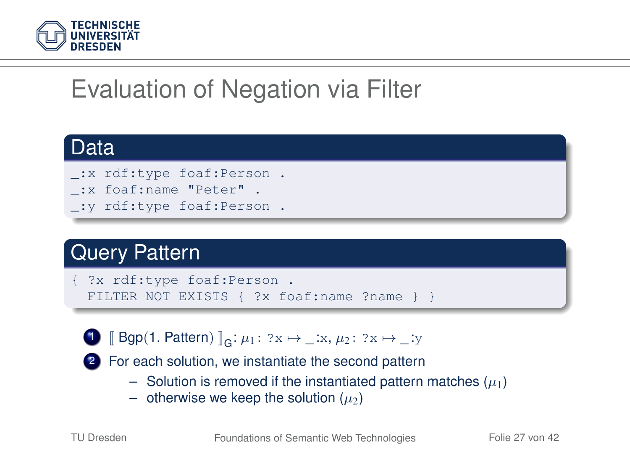

# Evaluation of Negation via Filter

#### Data

- \_:x rdf:type foaf:Person .
- \_:x foaf:name "Peter" .
- \_:y rdf:type foaf:Person .

#### Query Pattern

```
?x rdf:type foaf:Person.
FILTER NOT EXISTS { ?x foaf:name ?name } }
```


2 For each solution, we instantiate the second pattern

- Solution is removed if the instantiated pattern matches  $(\mu_1)$
- otherwise we keep the solution  $(\mu_2)$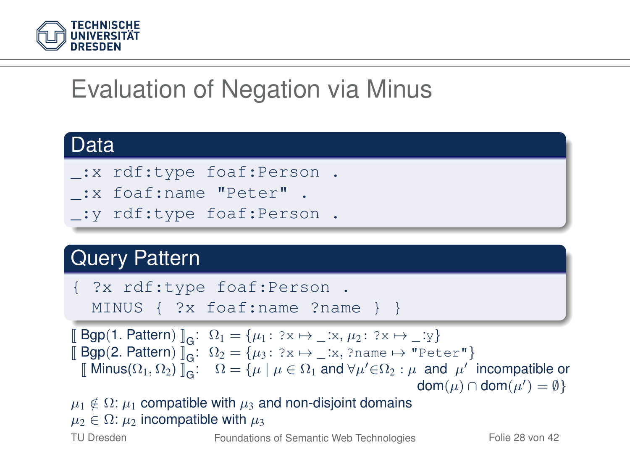

# Evaluation of Negation via Minus

#### Data

- \_:x rdf:type foaf:Person .
- \_:x foaf:name "Peter" .
- \_:y rdf:type foaf:Person .

#### **Query Pattern**

{ ?x rdf:type foaf:Person . MINUS { ?x foaf:name ?name } }

 $\llbracket \text{Bgp}(1. \text{Pattern}) \rrbracket_G: \Omega_1 = \{\mu_1: ?\mathbf{x} \mapsto \_\mathbf{x} : \mu_2: ?\mathbf{x} \mapsto \_\mathbf{y} \}$  $\llbracket \text{Bgp}(2, \text{Pattern}) \rrbracket_G: \Omega_2 = {\mu_3: ?x \mapsto \_x, ?name \mapsto \_"Peter"\}$ <br> $\llbracket \text{Minus}(Q, Q_1) \rrbracket: Q_1 = {\mu_1 \mu_2 \cap Q_2} \text{ and } \forall \mu' \in Q_2, \mu \text{ and } \mu'$ [ Minus( $\Omega_1, \Omega_2$ )  $\overline{\mathbb{I}}_G$ :  $\Omega = {\mu \mid \mu \in \Omega_1 \text{ and } \forall \mu' \in \Omega_2 : \mu \text{ and } \mu' \text{ incompatible or } \overrightarrow{\text{dom}(\mu) \cap \text{dom}(\mu') = \emptyset}}$  $\mathsf{dom}(\mu) \cap \mathsf{dom}(\mu') = \emptyset$ 

 $\mu_1 \notin \Omega$ :  $\mu_1$  compatible with  $\mu_3$  and non-disjoint domains  $\mu_2 \in \Omega$ :  $\mu_2$  incompatible with  $\mu_3$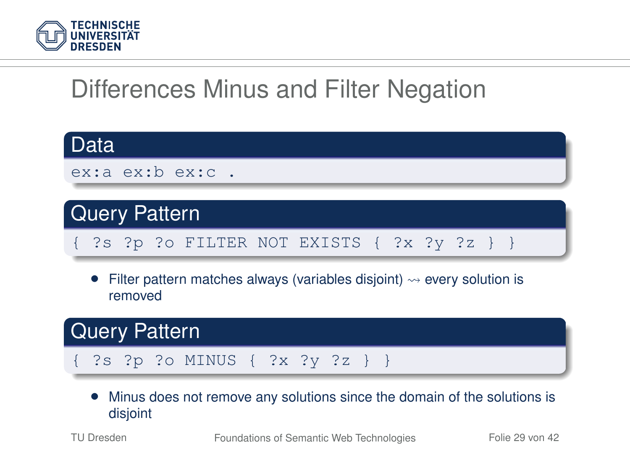

# Differences Minus and Filter Negation



• Minus does not remove any solutions since the domain of the solutions is disjoint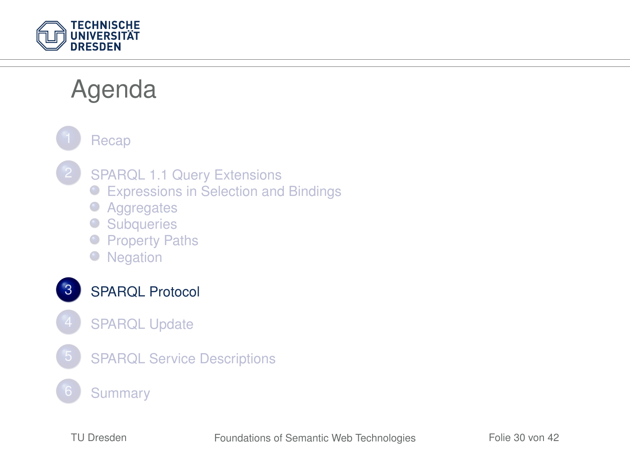

### Agenda

**[Recap](#page-4-0)** 

- [SPARQL 1.1 Query Extensions](#page-9-0)
	- [Expressions in Selection and Bindings](#page-10-0)
	- [Aggregates](#page-14-0)
	- [Subqueries](#page-21-0)
	- **[Property Paths](#page-22-0)**
	- [Negation](#page-25-0)

[SPARQL Protocol](#page-29-0)

- <span id="page-29-0"></span>**[SPARQL Update](#page-32-0)**
- 5 [SPARQL Service Descriptions](#page-34-0)
	- **[Summary](#page-39-0)**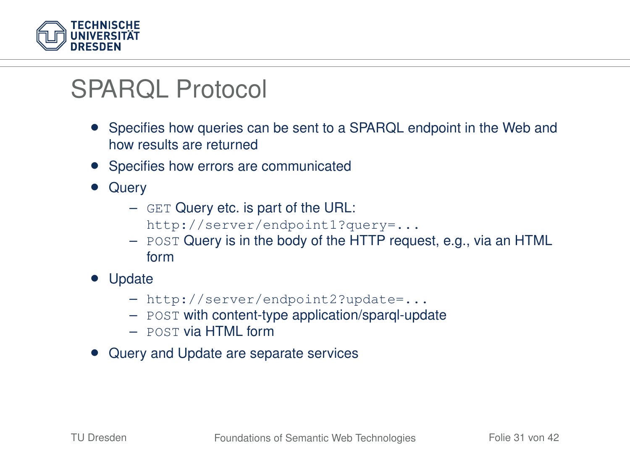

#### SPARQL Protocol

- Specifies how queries can be sent to a SPARQL endpoint in the Web and how results are returned
- Specifies how errors are communicated
- Query
	- GET Query etc. is part of the URL:
		- http://server/endpoint1?query=...
	- POST Query is in the body of the HTTP request, e.g., via an HTML form
- Update
	- http://server/endpoint2?update=...
	- POST with content-type application/sparql-update
	- POST via HTML form
- Query and Update are separate services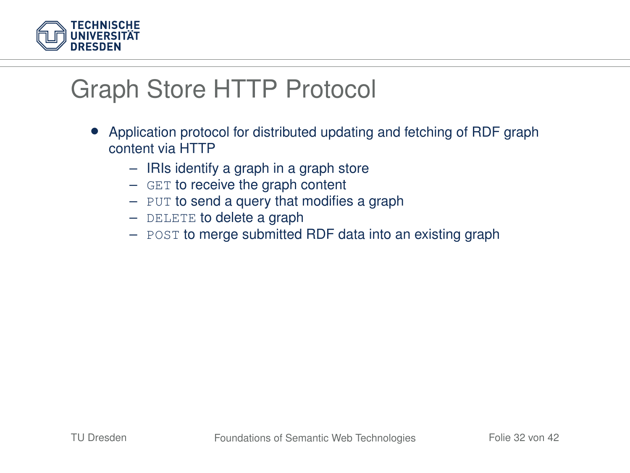

### Graph Store HTTP Protocol

- Application protocol for distributed updating and fetching of RDF graph content via HTTP
	- IRIs identify a graph in a graph store
	- GET to receive the graph content
	- PUT to send a query that modifies a graph
	- DELETE to delete a graph
	- POST to merge submitted RDF data into an existing graph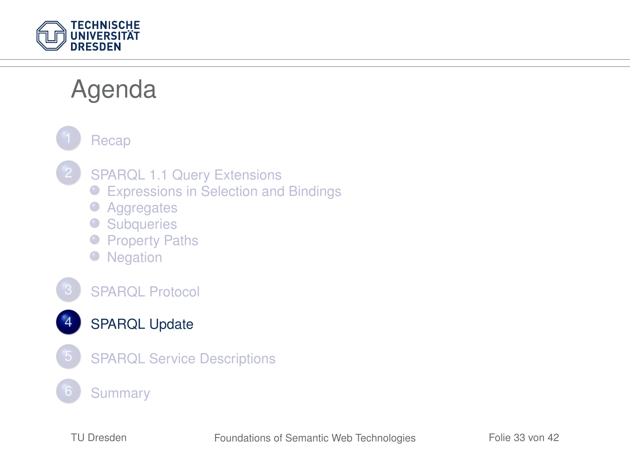

### Agenda

<span id="page-32-0"></span>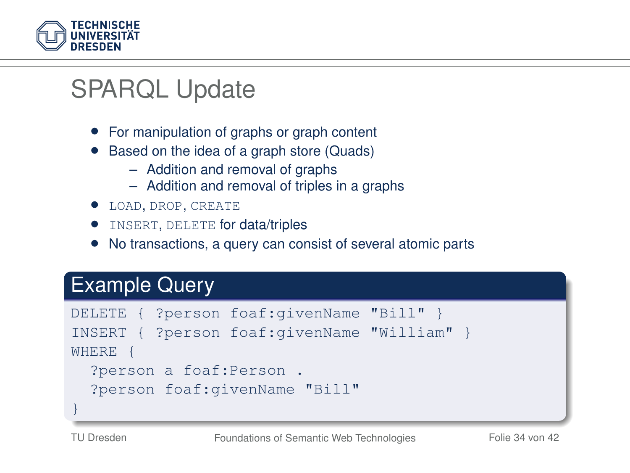

### SPARQL Update

- For manipulation of graphs or graph content
- Based on the idea of a graph store (Quads)
	- Addition and removal of graphs
	- Addition and removal of triples in a graphs
- LOAD, DROP, CREATE
- INSERT, DELETE for data/triples
- No transactions, a query can consist of several atomic parts

#### Example Query

|                         |  | DELETE { ?person foaf:givenName "Bill" }    |  |  |  |
|-------------------------|--|---------------------------------------------|--|--|--|
|                         |  | INSERT { ?person foaf:givenName "William" } |  |  |  |
| WHERE {                 |  |                                             |  |  |  |
| ?person a foaf: Person. |  |                                             |  |  |  |
|                         |  | ?person foaf: givenName "Bill"              |  |  |  |
|                         |  |                                             |  |  |  |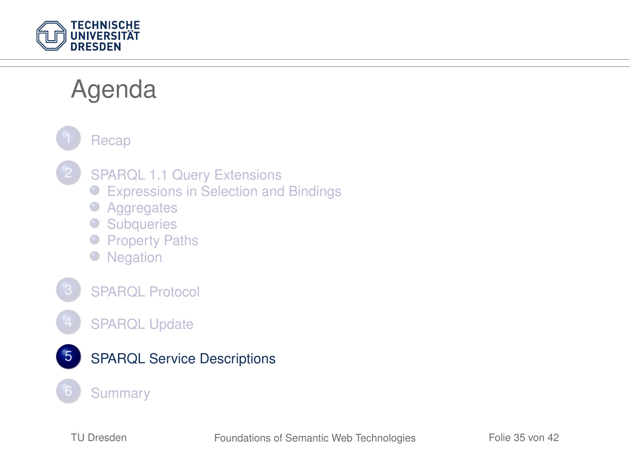

### Agenda

<span id="page-34-0"></span>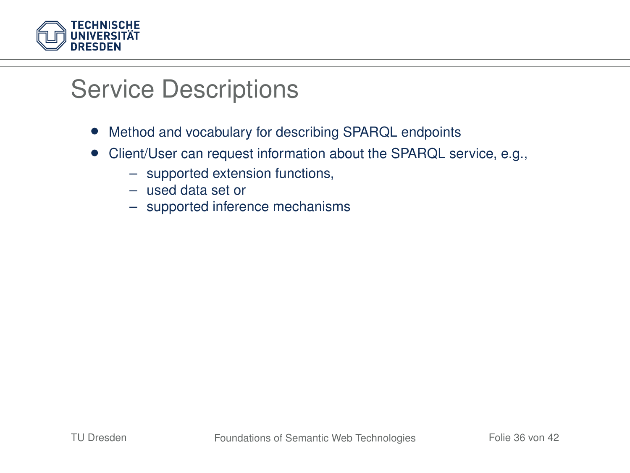

#### Service Descriptions

- Method and vocabulary for describing SPARQL endpoints
- Client/User can request information about the SPARQL service, e.g.,
	- supported extension functions,
	- used data set or
	- supported inference mechanisms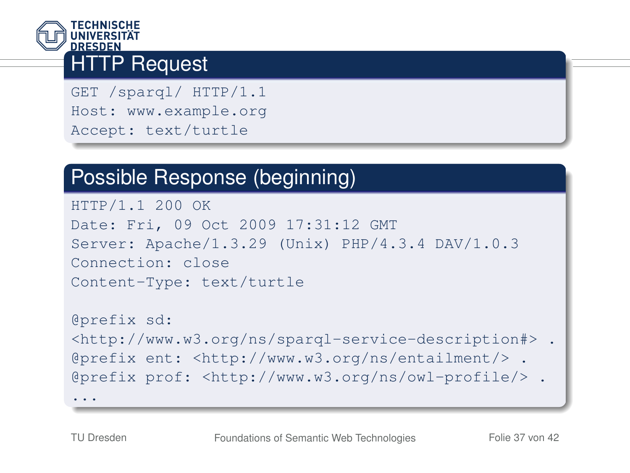

#### **HTTP Request**

GET /sparql/ HTTP/1.1 Host: www.example.org Accept: text/turtle

#### Possible Response (beginning)

```
HTTP/1.1 200 OK
Date: Fri, 09 Oct 2009 17:31:12 GMT
Server: Apache/1.3.29 (Unix) PHP/4.3.4 DAV/1.0.3
Connection: close
Content-Type: text/turtle
```

```
@prefix sd:
<http://www.w3.org/ns/sparql-service-description#> .
@prefix ent: <http://www.w3.org/ns/entailment/> .
@prefix prof: <http://www.w3.org/ns/owl-profile/> .
...
```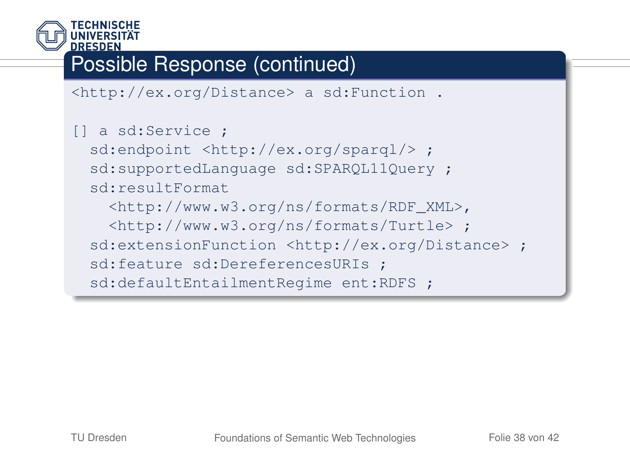

#### Possible Response (continued)

```
<http://ex.org/Distance> a sd:Function .
```

```
[] a sd:Service ;
 sd:endpoint <http://ex.org/spargl/> ;
 sd:supportedLanguage sd:SPARQL11Query ;
 sd:resultFormat
   <http://www.w3.org/ns/formats/RDF_XML>,
    <http://www.w3.org/ns/formats/Turtle> ;
 sd:extensionFunction <http://ex.org/Distance> ;
 sd:feature sd:DereferencesURIs ;
 sd:defaultEntailmentRegime ent:RDFS ;
```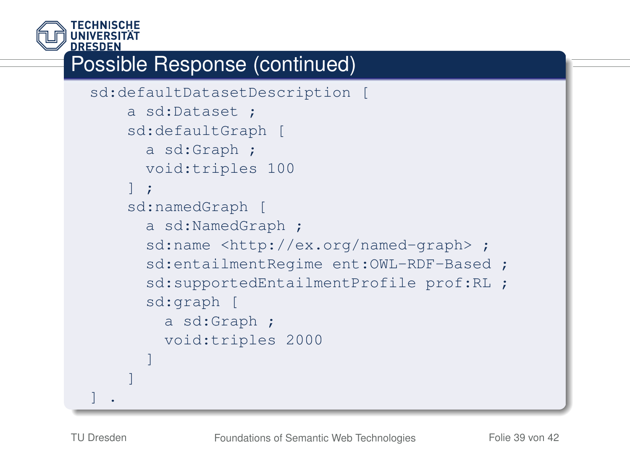

#### Possible Response (continued)

```
sd:defaultDatasetDescription [
    a sd:Dataset ;
    sd:defaultGraph [
      a sd:Graph ;
      void:triples 100
    ] ;
    sd:namedGraph [
      a sd:NamedGraph ;
      sd:name <http://ex.org/named-graph> ;
      sd:entailmentRegime ent:OWL-RDF-Based ;
      sd:supportedEntailmentProfile prof:RL ;
      sd:graph [
        a sd:Graph ;
        void:triples 2000
      ]
    ]
] .
```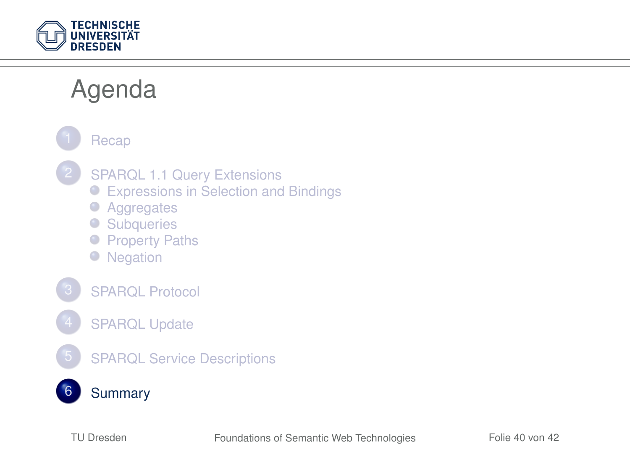

### Agenda

<span id="page-39-0"></span>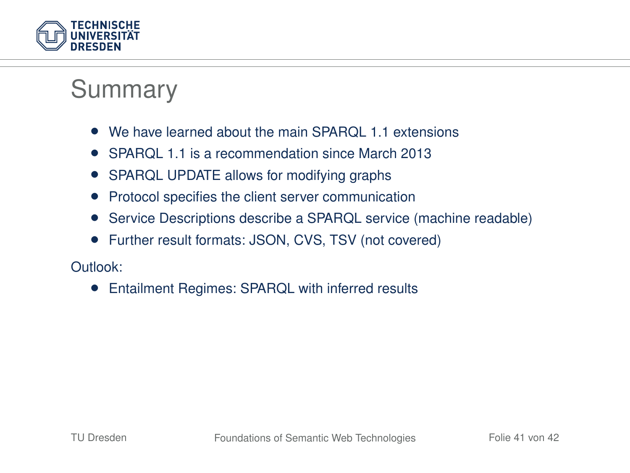

#### Summary

- We have learned about the main SPARQL 1.1 extensions
- SPAROL 1.1 is a recommendation since March 2013
- SPARQL UPDATE allows for modifying graphs
- Protocol specifies the client server communication
- Service Descriptions describe a SPARQL service (machine readable)
- Further result formats: JSON, CVS, TSV (not covered)

Outlook:

• Entailment Regimes: SPARQL with inferred results